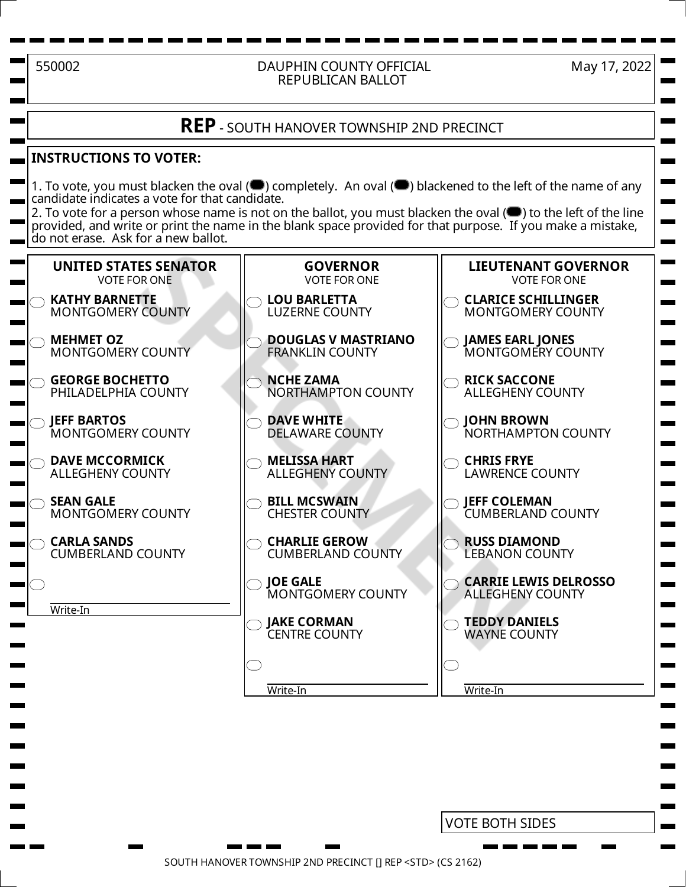## 550002 DAUPHIN COUNTY OFFICIAL REPUBLICAN BALLOT

May 17, 2022

## **REP** - SOUTH HANOVER TOWNSHIP 2ND PRECINCT

## **INSTRUCTIONS TO VOTER:**

1. To vote, you must blacken the oval (<sup>1</sup>) completely. An oval (<sup>2</sup>) blackened to the left of the name of any candidate indicates a vote for that candidate.

2. To vote for a person whose name is not on the ballot, you must blacken the oval  $($ **)** to the left of the line provided, and write or print the name in the blank space provided for that purpose. If you make a mistake, do not erase. Ask for a new ballot.